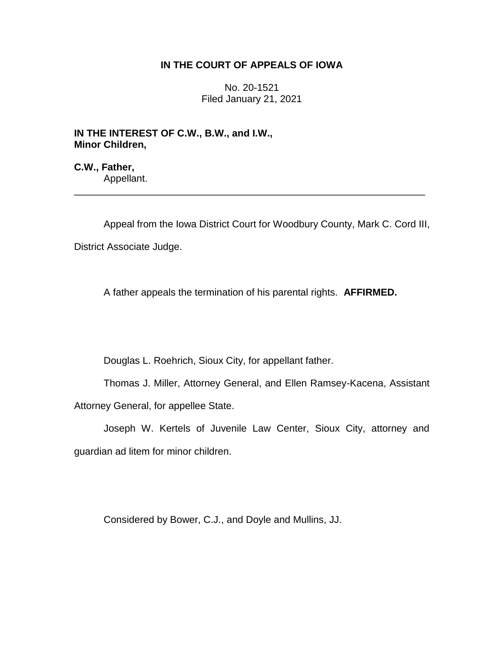## **IN THE COURT OF APPEALS OF IOWA**

No. 20-1521 Filed January 21, 2021

**IN THE INTEREST OF C.W., B.W., and I.W., Minor Children,**

**C.W., Father,** Appellant.

Appeal from the Iowa District Court for Woodbury County, Mark C. Cord III, District Associate Judge.

\_\_\_\_\_\_\_\_\_\_\_\_\_\_\_\_\_\_\_\_\_\_\_\_\_\_\_\_\_\_\_\_\_\_\_\_\_\_\_\_\_\_\_\_\_\_\_\_\_\_\_\_\_\_\_\_\_\_\_\_\_\_\_\_

A father appeals the termination of his parental rights. **AFFIRMED.**

Douglas L. Roehrich, Sioux City, for appellant father.

Thomas J. Miller, Attorney General, and Ellen Ramsey-Kacena, Assistant Attorney General, for appellee State.

Joseph W. Kertels of Juvenile Law Center, Sioux City, attorney and guardian ad litem for minor children.

Considered by Bower, C.J., and Doyle and Mullins, JJ.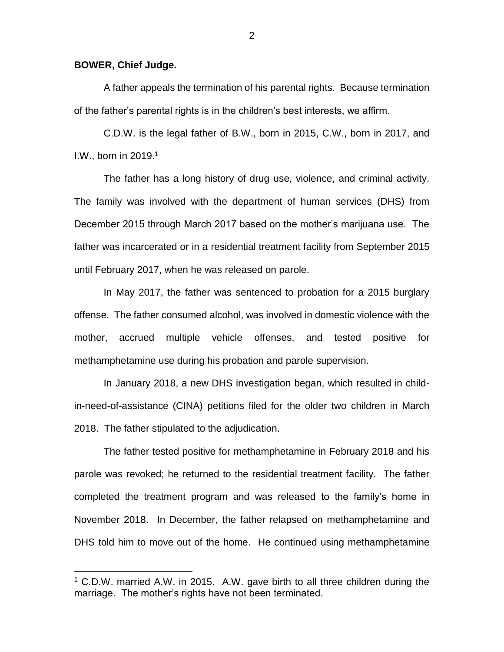## **BOWER, Chief Judge.**

 $\overline{a}$ 

A father appeals the termination of his parental rights. Because termination of the father's parental rights is in the children's best interests, we affirm.

C.D.W. is the legal father of B.W., born in 2015, C.W., born in 2017, and I.W., born in 2019.<sup>1</sup>

The father has a long history of drug use, violence, and criminal activity. The family was involved with the department of human services (DHS) from December 2015 through March 2017 based on the mother's marijuana use. The father was incarcerated or in a residential treatment facility from September 2015 until February 2017, when he was released on parole.

In May 2017, the father was sentenced to probation for a 2015 burglary offense. The father consumed alcohol, was involved in domestic violence with the mother, accrued multiple vehicle offenses, and tested positive for methamphetamine use during his probation and parole supervision.

In January 2018, a new DHS investigation began, which resulted in childin-need-of-assistance (CINA) petitions filed for the older two children in March 2018. The father stipulated to the adjudication.

The father tested positive for methamphetamine in February 2018 and his parole was revoked; he returned to the residential treatment facility. The father completed the treatment program and was released to the family's home in November 2018. In December, the father relapsed on methamphetamine and DHS told him to move out of the home. He continued using methamphetamine

 $1$  C.D.W. married A.W. in 2015. A.W. gave birth to all three children during the marriage. The mother's rights have not been terminated.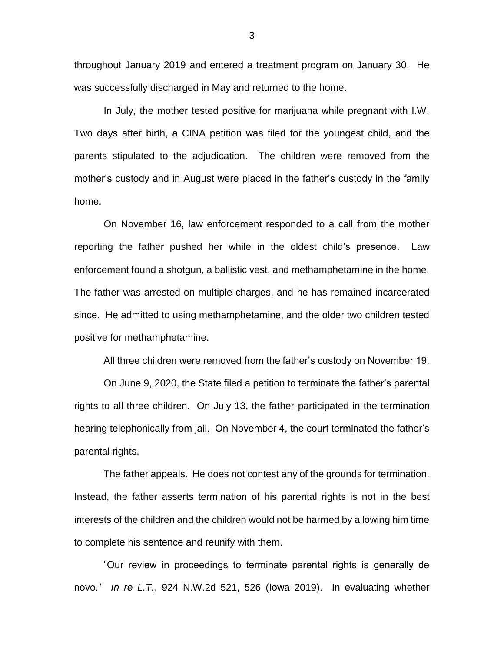throughout January 2019 and entered a treatment program on January 30. He was successfully discharged in May and returned to the home.

In July, the mother tested positive for marijuana while pregnant with I.W. Two days after birth, a CINA petition was filed for the youngest child, and the parents stipulated to the adjudication. The children were removed from the mother's custody and in August were placed in the father's custody in the family home.

On November 16, law enforcement responded to a call from the mother reporting the father pushed her while in the oldest child's presence. Law enforcement found a shotgun, a ballistic vest, and methamphetamine in the home. The father was arrested on multiple charges, and he has remained incarcerated since. He admitted to using methamphetamine, and the older two children tested positive for methamphetamine.

All three children were removed from the father's custody on November 19.

On June 9, 2020, the State filed a petition to terminate the father's parental rights to all three children. On July 13, the father participated in the termination hearing telephonically from jail. On November 4, the court terminated the father's parental rights.

The father appeals. He does not contest any of the grounds for termination. Instead, the father asserts termination of his parental rights is not in the best interests of the children and the children would not be harmed by allowing him time to complete his sentence and reunify with them.

"Our review in proceedings to terminate parental rights is generally de novo." *In re L.T.*, 924 N.W.2d 521, 526 (Iowa 2019). In evaluating whether

3